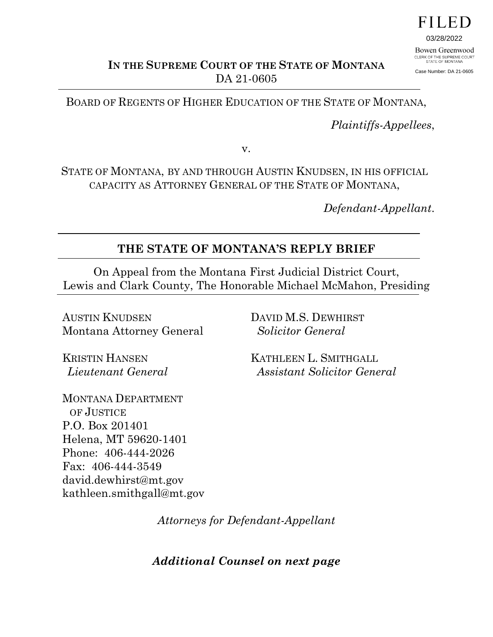

03/28/2022 Bowen Greenwood CLERK OF THE SUPREME COURT<br>STATE OF MONTANA

Case Number: DA 21-0605

**IN THE SUPREME COURT OF THE STATE OF MONTANA** DA 21-0605

BOARD OF REGENTS OF HIGHER EDUCATION OF THE STATE OF MONTANA,

*Plaintiffs-Appellees*,

v.

STATE OF MONTANA, BY AND THROUGH AUSTIN KNUDSEN, IN HIS OFFICIAL CAPACITY AS ATTORNEY GENERAL OF THE STATE OF MONTANA,

*Defendant-Appellant*.

#### **THE STATE OF MONTANA'S REPLY BRIEF**

On Appeal from the Montana First Judicial District Court, Lewis and Clark County, The Honorable Michael McMahon, Presiding

AUSTIN KNUDSEN Montana Attorney General

KRISTIN HANSEN  *Lieutenant General* DAVID M.S. DEWHIRST  *Solicitor General* 

KATHLEEN L. SMITHGALL  *Assistant Solicitor General*

MONTANA DEPARTMENT OF JUSTICE P.O. Box 201401 Helena, MT 59620-1401 Phone: 406-444-2026 Fax: 406-444-3549 david.dewhirst@mt.gov kathleen.smithgall@mt.gov

*Attorneys for Defendant-Appellant* 

*Additional Counsel on next page*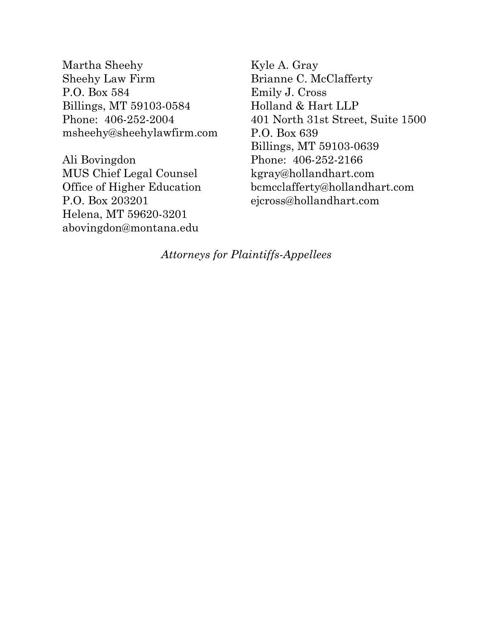Martha Sheehy Sheehy Law Firm P.O. Box 584 Billings, MT 59103-0584 Phone: 406-252-2004 msheehy@sheehylawfirm.com

Ali Bovingdon MUS Chief Legal Counsel Office of Higher Education P.O. Box 203201 Helena, MT 59620-3201 abovingdon@montana.edu

Kyle A. Gray Brianne C. McClafferty Emily J. Cross Holland & Hart LLP 401 North 31st Street, Suite 1500 P.O. Box 639 Billings, MT 59103-0639 Phone: 406-252-2166 kgray@hollandhart.com bcmcclafferty@hollandhart.com ejcross@hollandhart.com

*Attorneys for Plaintiffs-Appellees*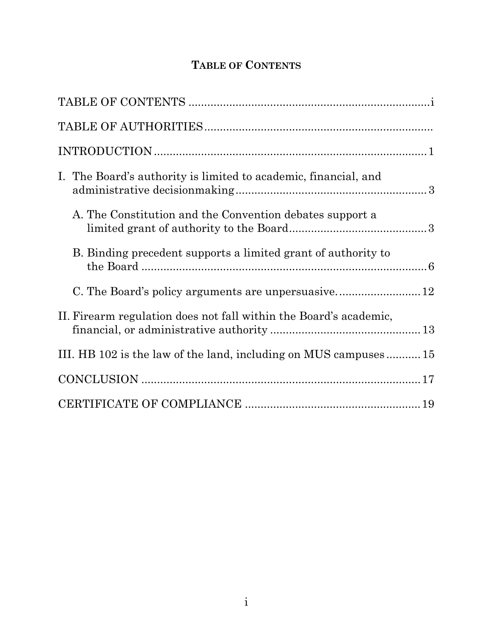## **TABLE OF CONTENTS**

|  | I. The Board's authority is limited to academic, financial, and   |  |
|--|-------------------------------------------------------------------|--|
|  | A. The Constitution and the Convention debates support a          |  |
|  | B. Binding precedent supports a limited grant of authority to     |  |
|  |                                                                   |  |
|  | II. Firearm regulation does not fall within the Board's academic, |  |
|  | III. HB 102 is the law of the land, including on MUS campuses 15  |  |
|  |                                                                   |  |
|  |                                                                   |  |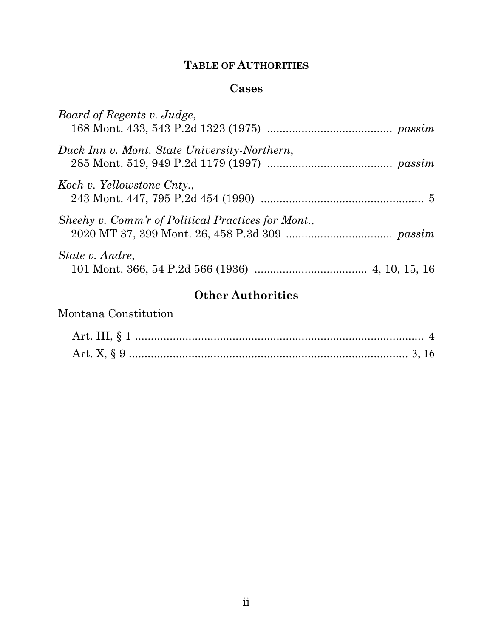### **TABLE OF AUTHORITIES**

### **Cases**

| Board of Regents v. Judge,                         |  |
|----------------------------------------------------|--|
| Duck Inn v. Mont. State University-Northern,       |  |
| Koch v. Yellowstone Cnty.,                         |  |
| Sheehy v. Comm'r of Political Practices for Mont., |  |
| State v. Andre,                                    |  |

# **Other Authorities**

### Montana Constitution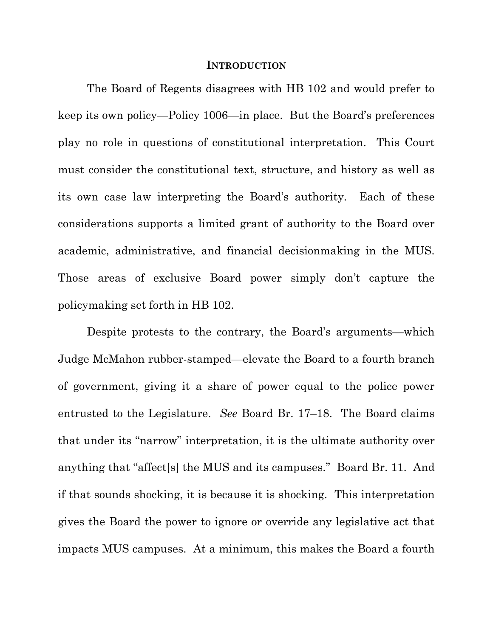#### **INTRODUCTION**

The Board of Regents disagrees with HB 102 and would prefer to keep its own policy—Policy 1006—in place. But the Board's preferences play no role in questions of constitutional interpretation. This Court must consider the constitutional text, structure, and history as well as its own case law interpreting the Board's authority. Each of these considerations supports a limited grant of authority to the Board over academic, administrative, and financial decisionmaking in the MUS. Those areas of exclusive Board power simply don't capture the policymaking set forth in HB 102.

Despite protests to the contrary, the Board's arguments—which Judge McMahon rubber-stamped—elevate the Board to a fourth branch of government, giving it a share of power equal to the police power entrusted to the Legislature. *See* Board Br. 17–18. The Board claims that under its "narrow" interpretation, it is the ultimate authority over anything that "affect[s] the MUS and its campuses." Board Br. 11. And if that sounds shocking, it is because it is shocking. This interpretation gives the Board the power to ignore or override any legislative act that impacts MUS campuses. At a minimum, this makes the Board a fourth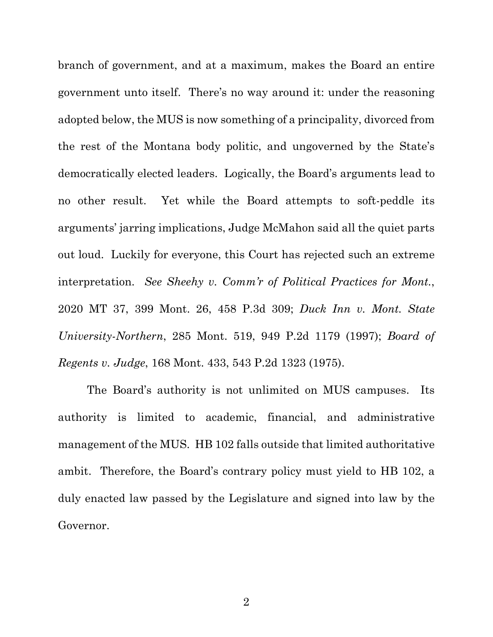branch of government, and at a maximum, makes the Board an entire government unto itself. There's no way around it: under the reasoning adopted below, the MUS is now something of a principality, divorced from the rest of the Montana body politic, and ungoverned by the State's democratically elected leaders. Logically, the Board's arguments lead to no other result. Yet while the Board attempts to soft-peddle its arguments' jarring implications, Judge McMahon said all the quiet parts out loud. Luckily for everyone, this Court has rejected such an extreme interpretation. *See Sheehy v. Comm'r of Political Practices for Mont.*, 2020 MT 37, 399 Mont. 26, 458 P.3d 309; *Duck Inn v. Mont. State University-Northern*, 285 Mont. 519, 949 P.2d 1179 (1997); *Board of Regents v. Judge*, 168 Mont. 433, 543 P.2d 1323 (1975).

The Board's authority is not unlimited on MUS campuses. Its authority is limited to academic, financial, and administrative management of the MUS. HB 102 falls outside that limited authoritative ambit. Therefore, the Board's contrary policy must yield to HB 102, a duly enacted law passed by the Legislature and signed into law by the Governor.

2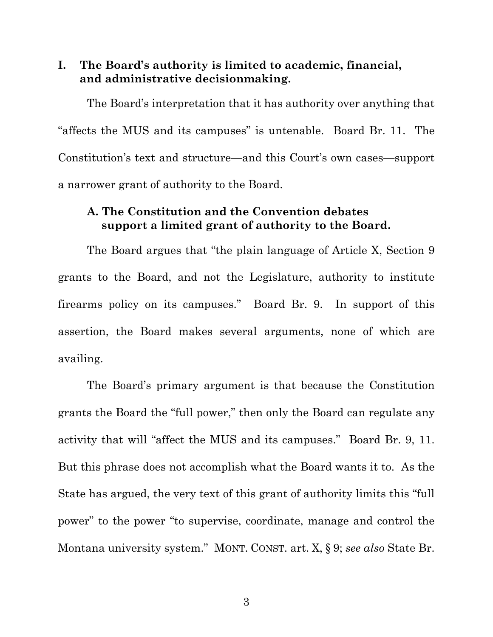**I. The Board's authority is limited to academic, financial, and administrative decisionmaking.** 

The Board's interpretation that it has authority over anything that "affects the MUS and its campuses" is untenable. Board Br. 11. The Constitution's text and structure—and this Court's own cases—support a narrower grant of authority to the Board.

#### **A. The Constitution and the Convention debates support a limited grant of authority to the Board.**

The Board argues that "the plain language of Article X, Section 9 grants to the Board, and not the Legislature, authority to institute firearms policy on its campuses." Board Br. 9. In support of this assertion, the Board makes several arguments, none of which are availing.

The Board's primary argument is that because the Constitution grants the Board the "full power," then only the Board can regulate any activity that will "affect the MUS and its campuses." Board Br. 9, 11. But this phrase does not accomplish what the Board wants it to. As the State has argued, the very text of this grant of authority limits this "full power" to the power "to supervise, coordinate, manage and control the Montana university system." MONT. CONST. art. X, § 9; *see also* State Br.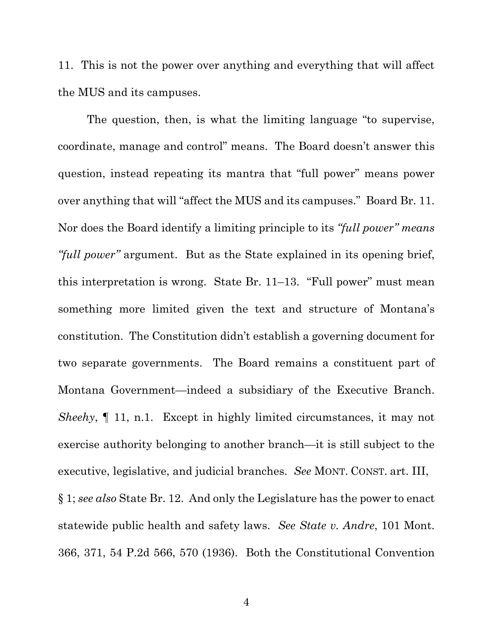11. This is not the power over anything and everything that will affect the MUS and its campuses.

The question, then, is what the limiting language "to supervise, coordinate, manage and control" means. The Board doesn't answer this question, instead repeating its mantra that "full power" means power over anything that will "affect the MUS and its campuses." Board Br. 11. Nor does the Board identify a limiting principle to its *"full power" means "full power"* argument. But as the State explained in its opening brief, this interpretation is wrong. State Br. 11–13. "Full power" must mean something more limited given the text and structure of Montana's constitution. The Constitution didn't establish a governing document for two separate governments. The Board remains a constituent part of Montana Government—indeed a subsidiary of the Executive Branch. *Sheehy*, ¶ 11, n.1. Except in highly limited circumstances, it may not exercise authority belonging to another branch—it is still subject to the executive, legislative, and judicial branches. *See* MONT. CONST. art. III, § 1; *see also* State Br. 12. And only the Legislature has the power to enact statewide public health and safety laws. *See State v. Andre*, 101 Mont. 366, 371, 54 P.2d 566, 570 (1936). Both the Constitutional Convention

4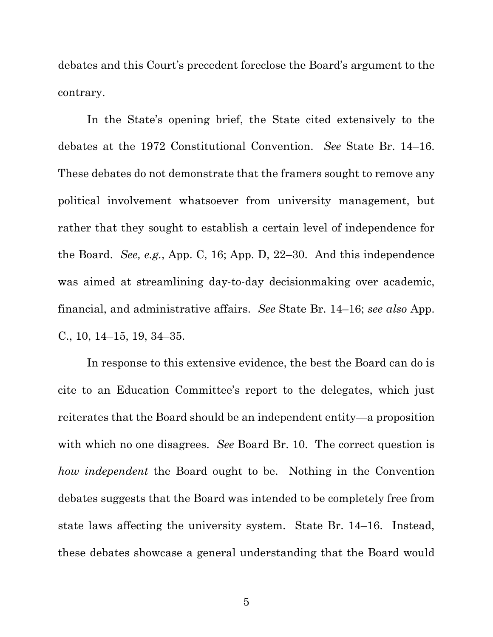debates and this Court's precedent foreclose the Board's argument to the contrary.

In the State's opening brief, the State cited extensively to the debates at the 1972 Constitutional Convention. *See* State Br. 14–16. These debates do not demonstrate that the framers sought to remove any political involvement whatsoever from university management, but rather that they sought to establish a certain level of independence for the Board. *See, e.g.*, App. C, 16; App. D, 22–30. And this independence was aimed at streamlining day-to-day decisionmaking over academic, financial, and administrative affairs. *See* State Br. 14–16; *see also* App. C., 10, 14–15, 19, 34–35.

In response to this extensive evidence, the best the Board can do is cite to an Education Committee's report to the delegates, which just reiterates that the Board should be an independent entity—a proposition with which no one disagrees. *See* Board Br. 10. The correct question is *how independent* the Board ought to be. Nothing in the Convention debates suggests that the Board was intended to be completely free from state laws affecting the university system. State Br. 14–16. Instead, these debates showcase a general understanding that the Board would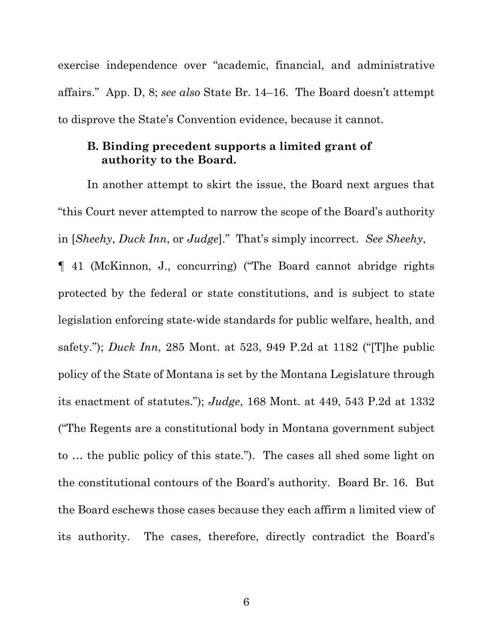exercise independence over "academic, financial, and administrative affairs." App. D, 8; *see also* State Br. 14–16. The Board doesn't attempt to disprove the State's Convention evidence, because it cannot.

#### **B. Binding precedent supports a limited grant of authority to the Board.**

In another attempt to skirt the issue, the Board next argues that "this Court never attempted to narrow the scope of the Board's authority in [*Sheehy*, *Duck Inn*, or *Judge*]." That's simply incorrect. *See Sheehy*, ¶ 41 (McKinnon, J., concurring) ("The Board cannot abridge rights protected by the federal or state constitutions, and is subject to state legislation enforcing state-wide standards for public welfare, health, and safety."); *Duck Inn*, 285 Mont. at 523, 949 P.2d at 1182 ("[T]he public policy of the State of Montana is set by the Montana Legislature through its enactment of statutes."); *Judge*, 168 Mont. at 449, 543 P.2d at 1332 ("The Regents are a constitutional body in Montana government subject to … the public policy of this state."). The cases all shed some light on the constitutional contours of the Board's authority. Board Br. 16. But the Board eschews those cases because they each affirm a limited view of its authority. The cases, therefore, directly contradict the Board's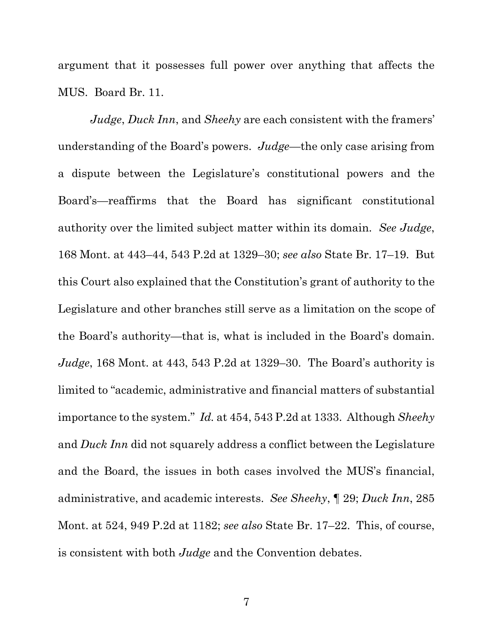argument that it possesses full power over anything that affects the MUS. Board Br. 11.

*Judge*, *Duck Inn*, and *Sheehy* are each consistent with the framers' understanding of the Board's powers. *Judge*—the only case arising from a dispute between the Legislature's constitutional powers and the Board's—reaffirms that the Board has significant constitutional authority over the limited subject matter within its domain. *See Judge*, 168 Mont. at 443–44, 543 P.2d at 1329–30; *see also* State Br. 17–19. But this Court also explained that the Constitution's grant of authority to the Legislature and other branches still serve as a limitation on the scope of the Board's authority—that is, what is included in the Board's domain. *Judge*, 168 Mont. at 443, 543 P.2d at 1329–30. The Board's authority is limited to "academic, administrative and financial matters of substantial importance to the system." *Id.* at 454, 543 P.2d at 1333. Although *Sheehy*  and *Duck Inn* did not squarely address a conflict between the Legislature and the Board, the issues in both cases involved the MUS's financial, administrative, and academic interests. *See Sheehy*, ¶ 29; *Duck Inn*, 285 Mont. at 524, 949 P.2d at 1182; *see also* State Br. 17–22. This, of course, is consistent with both *Judge* and the Convention debates.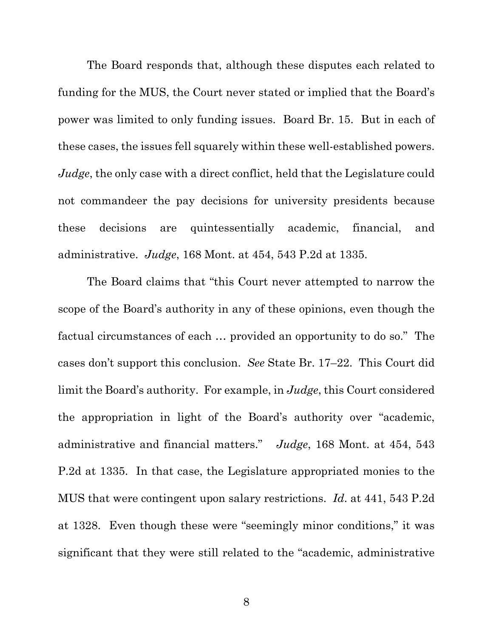The Board responds that, although these disputes each related to funding for the MUS, the Court never stated or implied that the Board's power was limited to only funding issues. Board Br. 15. But in each of these cases, the issues fell squarely within these well-established powers. *Judge*, the only case with a direct conflict, held that the Legislature could not commandeer the pay decisions for university presidents because these decisions are quintessentially academic, financial, and administrative. *Judge*, 168 Mont. at 454, 543 P.2d at 1335.

The Board claims that "this Court never attempted to narrow the scope of the Board's authority in any of these opinions, even though the factual circumstances of each … provided an opportunity to do so." The cases don't support this conclusion. *See* State Br. 17–22. This Court did limit the Board's authority. For example, in *Judge*, this Court considered the appropriation in light of the Board's authority over "academic, administrative and financial matters." *Judge*, 168 Mont. at 454, 543 P.2d at 1335. In that case, the Legislature appropriated monies to the MUS that were contingent upon salary restrictions. *Id*. at 441, 543 P.2d at 1328. Even though these were "seemingly minor conditions," it was significant that they were still related to the "academic, administrative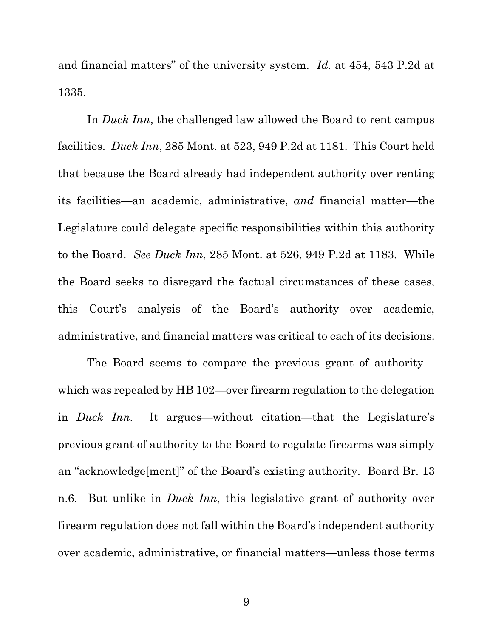and financial matters" of the university system. *Id.* at 454, 543 P.2d at 1335.

In *Duck Inn*, the challenged law allowed the Board to rent campus facilities. *Duck Inn*, 285 Mont. at 523, 949 P.2d at 1181. This Court held that because the Board already had independent authority over renting its facilities—an academic, administrative, *and* financial matter—the Legislature could delegate specific responsibilities within this authority to the Board. *See Duck Inn*, 285 Mont. at 526, 949 P.2d at 1183. While the Board seeks to disregard the factual circumstances of these cases, this Court's analysis of the Board's authority over academic, administrative, and financial matters was critical to each of its decisions.

The Board seems to compare the previous grant of authority which was repealed by HB 102—over firearm regulation to the delegation in *Duck Inn*. It argues—without citation—that the Legislature's previous grant of authority to the Board to regulate firearms was simply an "acknowledge[ment]" of the Board's existing authority. Board Br. 13 n.6. But unlike in *Duck Inn*, this legislative grant of authority over firearm regulation does not fall within the Board's independent authority over academic, administrative, or financial matters—unless those terms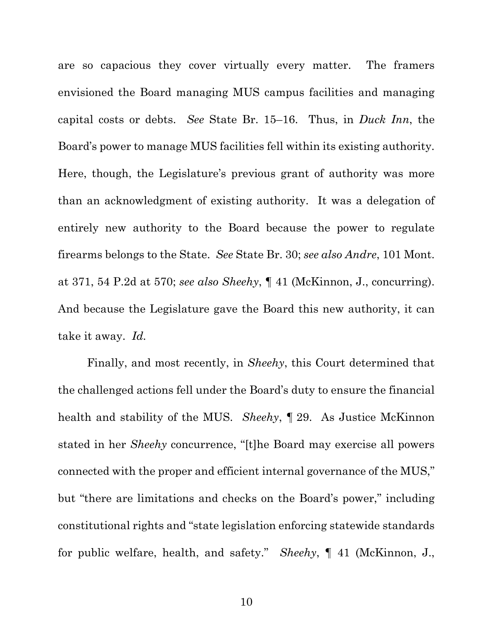are so capacious they cover virtually every matter. The framers envisioned the Board managing MUS campus facilities and managing capital costs or debts. *See* State Br. 15–16. Thus, in *Duck Inn*, the Board's power to manage MUS facilities fell within its existing authority. Here, though, the Legislature's previous grant of authority was more than an acknowledgment of existing authority. It was a delegation of entirely new authority to the Board because the power to regulate firearms belongs to the State. *See* State Br. 30; *see also Andre*, 101 Mont. at 371, 54 P.2d at 570; *see also Sheehy*, ¶ 41 (McKinnon, J., concurring). And because the Legislature gave the Board this new authority, it can take it away. *Id.*

Finally, and most recently, in *Sheehy*, this Court determined that the challenged actions fell under the Board's duty to ensure the financial health and stability of the MUS. *Sheehy*, ¶ 29. As Justice McKinnon stated in her *Sheehy* concurrence, "[t]he Board may exercise all powers connected with the proper and efficient internal governance of the MUS," but "there are limitations and checks on the Board's power," including constitutional rights and "state legislation enforcing statewide standards for public welfare, health, and safety." *Sheehy*, ¶ 41 (McKinnon, J.,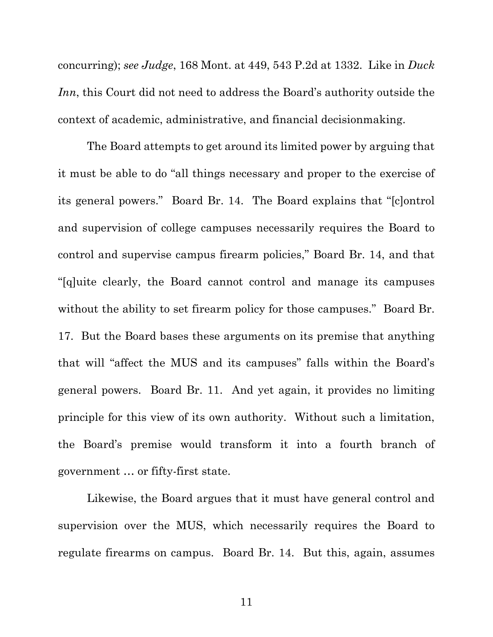concurring); *see Judge*, 168 Mont. at 449, 543 P.2d at 1332. Like in *Duck Inn*, this Court did not need to address the Board's authority outside the context of academic, administrative, and financial decisionmaking.

The Board attempts to get around its limited power by arguing that it must be able to do "all things necessary and proper to the exercise of its general powers." Board Br. 14. The Board explains that "[c]ontrol and supervision of college campuses necessarily requires the Board to control and supervise campus firearm policies," Board Br. 14, and that "[q]uite clearly, the Board cannot control and manage its campuses without the ability to set firearm policy for those campuses." Board Br. 17. But the Board bases these arguments on its premise that anything that will "affect the MUS and its campuses" falls within the Board's general powers. Board Br. 11. And yet again, it provides no limiting principle for this view of its own authority. Without such a limitation, the Board's premise would transform it into a fourth branch of government … or fifty-first state.

Likewise, the Board argues that it must have general control and supervision over the MUS, which necessarily requires the Board to regulate firearms on campus. Board Br. 14. But this, again, assumes

11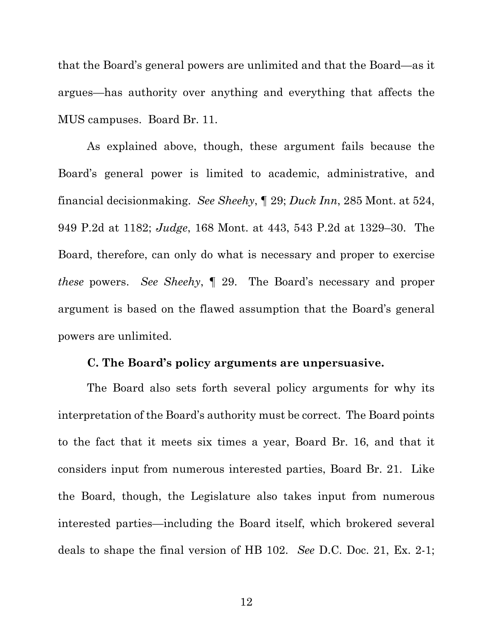that the Board's general powers are unlimited and that the Board—as it argues—has authority over anything and everything that affects the MUS campuses. Board Br. 11.

As explained above, though, these argument fails because the Board's general power is limited to academic, administrative, and financial decisionmaking. *See Sheehy*, ¶ 29; *Duck Inn*, 285 Mont. at 524, 949 P.2d at 1182; *Judge*, 168 Mont. at 443, 543 P.2d at 1329–30. The Board, therefore, can only do what is necessary and proper to exercise *these* powers. *See Sheehy*, ¶ 29. The Board's necessary and proper argument is based on the flawed assumption that the Board's general powers are unlimited.

### **C. The Board's policy arguments are unpersuasive.**

The Board also sets forth several policy arguments for why its interpretation of the Board's authority must be correct. The Board points to the fact that it meets six times a year, Board Br. 16, and that it considers input from numerous interested parties, Board Br. 21. Like the Board, though, the Legislature also takes input from numerous interested parties—including the Board itself, which brokered several deals to shape the final version of HB 102. *See* D.C. Doc. 21, Ex. 2-1;

12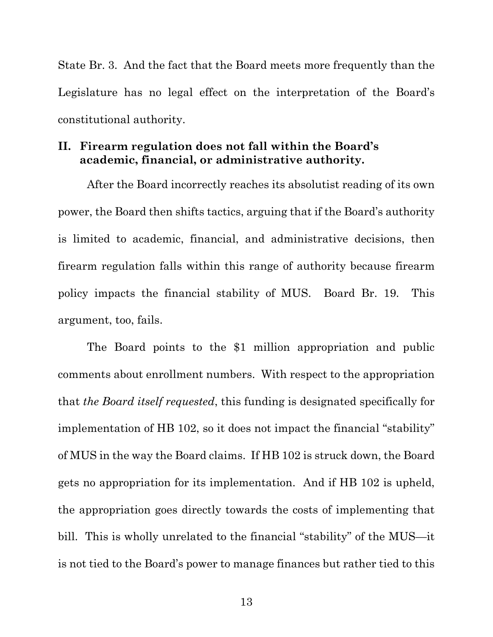State Br. 3. And the fact that the Board meets more frequently than the Legislature has no legal effect on the interpretation of the Board's constitutional authority.

### **II. Firearm regulation does not fall within the Board's academic, financial, or administrative authority.**

After the Board incorrectly reaches its absolutist reading of its own power, the Board then shifts tactics, arguing that if the Board's authority is limited to academic, financial, and administrative decisions, then firearm regulation falls within this range of authority because firearm policy impacts the financial stability of MUS. Board Br. 19. This argument, too, fails.

The Board points to the \$1 million appropriation and public comments about enrollment numbers. With respect to the appropriation that *the Board itself requested*, this funding is designated specifically for implementation of HB 102, so it does not impact the financial "stability" of MUS in the way the Board claims. If HB 102 is struck down, the Board gets no appropriation for its implementation. And if HB 102 is upheld, the appropriation goes directly towards the costs of implementing that bill. This is wholly unrelated to the financial "stability" of the MUS—it is not tied to the Board's power to manage finances but rather tied to this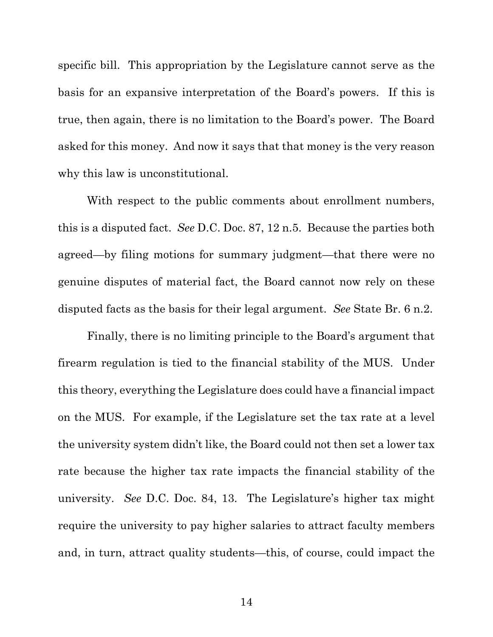specific bill. This appropriation by the Legislature cannot serve as the basis for an expansive interpretation of the Board's powers. If this is true, then again, there is no limitation to the Board's power. The Board asked for this money. And now it says that that money is the very reason why this law is unconstitutional.

With respect to the public comments about enrollment numbers, this is a disputed fact. *See* D.C. Doc. 87, 12 n.5. Because the parties both agreed—by filing motions for summary judgment—that there were no genuine disputes of material fact, the Board cannot now rely on these disputed facts as the basis for their legal argument. *See* State Br. 6 n.2.

Finally, there is no limiting principle to the Board's argument that firearm regulation is tied to the financial stability of the MUS.Under this theory, everything the Legislature does could have a financial impact on the MUS. For example, if the Legislature set the tax rate at a level the university system didn't like, the Board could not then set a lower tax rate because the higher tax rate impacts the financial stability of the university. *See* D.C. Doc. 84, 13. The Legislature's higher tax might require the university to pay higher salaries to attract faculty members and, in turn, attract quality students—this, of course, could impact the

14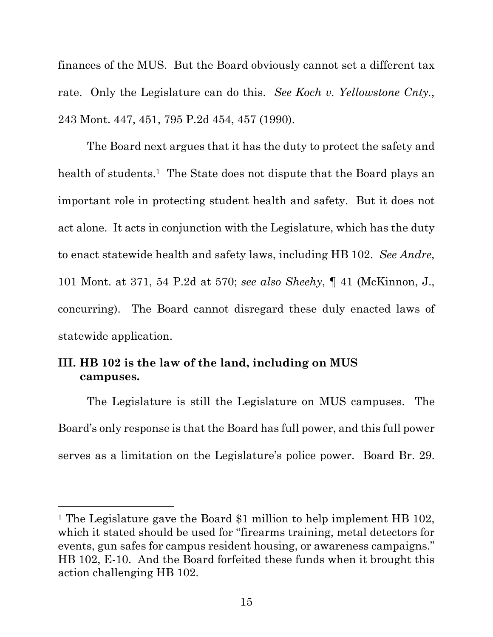finances of the MUS. But the Board obviously cannot set a different tax rate. Only the Legislature can do this. *See Koch v. Yellowstone Cnty.*, 243 Mont. 447, 451, 795 P.2d 454, 457 (1990).

 The Board next argues that it has the duty to protect the safety and health of students.<sup>1</sup> The State does not dispute that the Board plays an important role in protecting student health and safety. But it does not act alone. It acts in conjunction with the Legislature, which has the duty to enact statewide health and safety laws, including HB 102. *See Andre*, 101 Mont. at 371, 54 P.2d at 570; *see also Sheehy*, ¶ 41 (McKinnon, J., concurring). The Board cannot disregard these duly enacted laws of statewide application.

### **III. HB 102 is the law of the land, including on MUS campuses.**

The Legislature is still the Legislature on MUS campuses. The Board's only response is that the Board has full power, and this full power serves as a limitation on the Legislature's police power. Board Br. 29.

<sup>&</sup>lt;sup>1</sup> The Legislature gave the Board \$1 million to help implement HB 102, which it stated should be used for "firearms training, metal detectors for events, gun safes for campus resident housing, or awareness campaigns." HB 102, E-10. And the Board forfeited these funds when it brought this action challenging HB 102.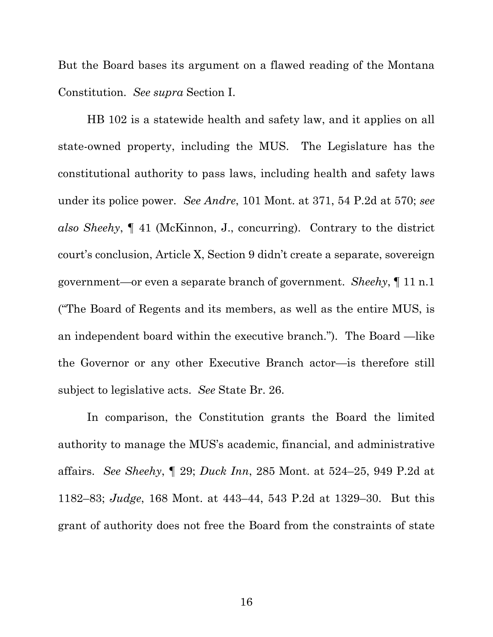But the Board bases its argument on a flawed reading of the Montana Constitution. *See supra* Section I.

HB 102 is a statewide health and safety law, and it applies on all state-owned property, including the MUS. The Legislature has the constitutional authority to pass laws, including health and safety laws under its police power. *See Andre*, 101 Mont. at 371, 54 P.2d at 570; *see also Sheehy*, ¶ 41 (McKinnon, J., concurring). Contrary to the district court's conclusion, Article X, Section 9 didn't create a separate, sovereign government—or even a separate branch of government. *Sheehy*, ¶ 11 n.1 ("The Board of Regents and its members, as well as the entire MUS, is an independent board within the executive branch."). The Board —like the Governor or any other Executive Branch actor—is therefore still subject to legislative acts. *See* State Br. 26.

In comparison, the Constitution grants the Board the limited authority to manage the MUS's academic, financial, and administrative affairs. *See Sheehy*, ¶ 29; *Duck Inn*, 285 Mont. at 524–25, 949 P.2d at 1182–83; *Judge*, 168 Mont. at 443–44, 543 P.2d at 1329–30. But this grant of authority does not free the Board from the constraints of state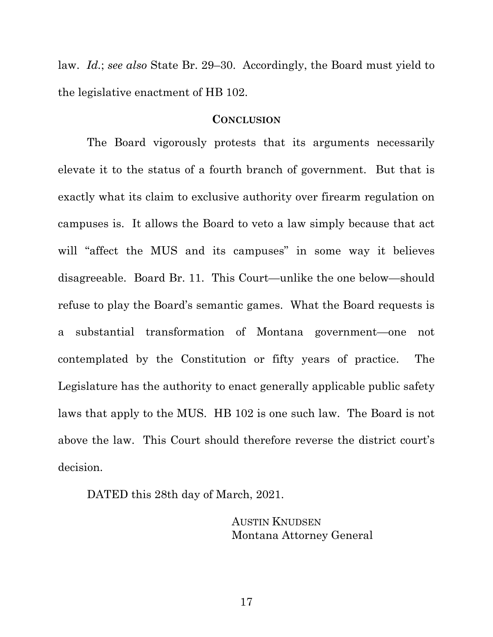law. *Id.*; *see also* State Br. 29–30. Accordingly, the Board must yield to the legislative enactment of HB 102.

#### **CONCLUSION**

The Board vigorously protests that its arguments necessarily elevate it to the status of a fourth branch of government. But that is exactly what its claim to exclusive authority over firearm regulation on campuses is. It allows the Board to veto a law simply because that act will "affect the MUS and its campuses" in some way it believes disagreeable. Board Br. 11. This Court—unlike the one below—should refuse to play the Board's semantic games. What the Board requests is a substantial transformation of Montana government—one not contemplated by the Constitution or fifty years of practice. The Legislature has the authority to enact generally applicable public safety laws that apply to the MUS. HB 102 is one such law. The Board is not above the law. This Court should therefore reverse the district court's decision.

DATED this 28th day of March, 2021.

AUSTIN KNUDSEN Montana Attorney General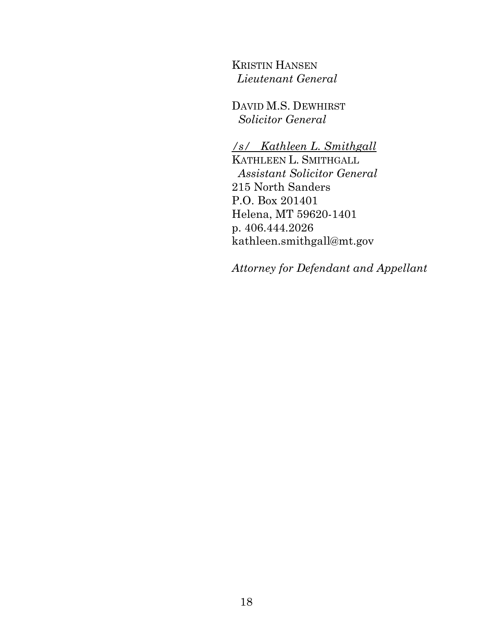KRISTIN HANSEN *Lieutenant General* 

DAVID M.S. DEWHIRST *Solicitor General* 

*/s/ Kathleen L. Smithgall* KATHLEEN L. SMITHGALL  *Assistant Solicitor General*  215 North Sanders P.O. Box 201401 Helena, MT 59620-1401 p. 406.444.2026 kathleen.smithgall@mt.gov

*Attorney for Defendant and Appellant*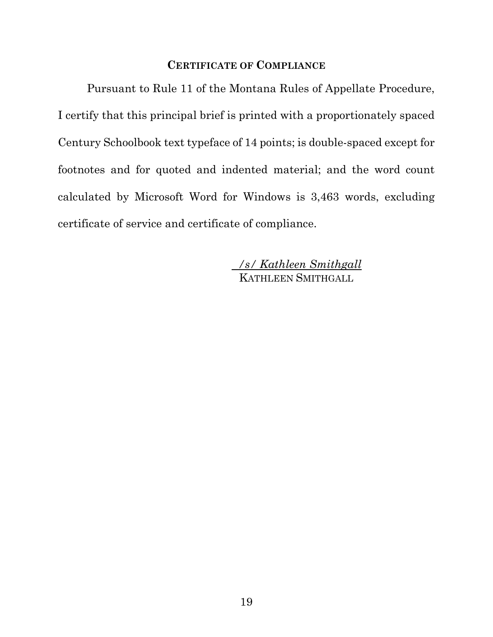#### **CERTIFICATE OF COMPLIANCE**

 Pursuant to Rule 11 of the Montana Rules of Appellate Procedure, I certify that this principal brief is printed with a proportionately spaced Century Schoolbook text typeface of 14 points; is double-spaced except for footnotes and for quoted and indented material; and the word count calculated by Microsoft Word for Windows is 3,463 words, excluding certificate of service and certificate of compliance.

> */s/ Kathleen Smithgall*  KATHLEEN SMITHGALL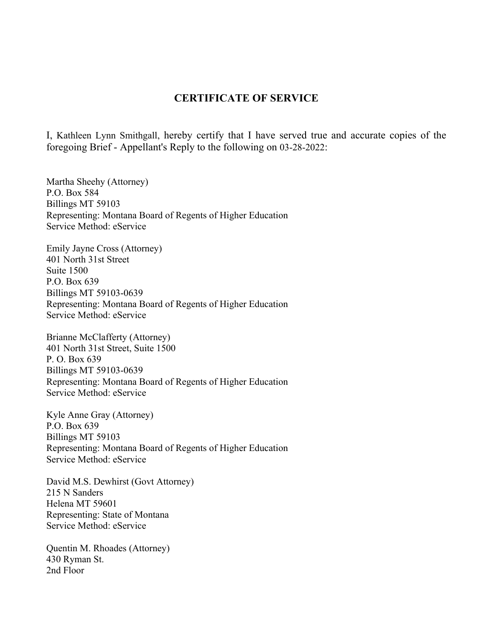#### **CERTIFICATE OF SERVICE**

I, Kathleen Lynn Smithgall, hereby certify that I have served true and accurate copies of the foregoing Brief - Appellant's Reply to the following on 03-28-2022:

Martha Sheehy (Attorney) P.O. Box 584 Billings MT 59103 Representing: Montana Board of Regents of Higher Education Service Method: eService

Emily Jayne Cross (Attorney) 401 North 31st Street Suite 1500 P.O. Box 639 Billings MT 59103-0639 Representing: Montana Board of Regents of Higher Education Service Method: eService

Brianne McClafferty (Attorney) 401 North 31st Street, Suite 1500 P. O. Box 639 Billings MT 59103-0639 Representing: Montana Board of Regents of Higher Education Service Method: eService

Kyle Anne Gray (Attorney) P.O. Box 639 Billings MT 59103 Representing: Montana Board of Regents of Higher Education Service Method: eService

David M.S. Dewhirst (Govt Attorney) 215 N Sanders Helena MT 59601 Representing: State of Montana Service Method: eService

Quentin M. Rhoades (Attorney) 430 Ryman St. 2nd Floor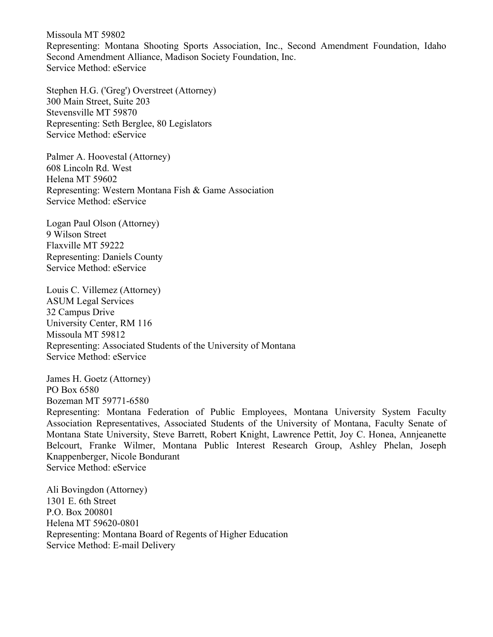Missoula MT 59802 Representing: Montana Shooting Sports Association, Inc., Second Amendment Foundation, Idaho Second Amendment Alliance, Madison Society Foundation, Inc. Service Method: eService

Stephen H.G. ('Greg') Overstreet (Attorney) 300 Main Street, Suite 203 Stevensville MT 59870 Representing: Seth Berglee, 80 Legislators Service Method: eService

Palmer A. Hoovestal (Attorney) 608 Lincoln Rd. West Helena MT 59602 Representing: Western Montana Fish & Game Association Service Method: eService

Logan Paul Olson (Attorney) 9 Wilson Street Flaxville MT 59222 Representing: Daniels County Service Method: eService

Louis C. Villemez (Attorney) ASUM Legal Services 32 Campus Drive University Center, RM 116 Missoula MT 59812 Representing: Associated Students of the University of Montana Service Method: eService

James H. Goetz (Attorney) PO Box 6580 Bozeman MT 59771-6580

Representing: Montana Federation of Public Employees, Montana University System Faculty Association Representatives, Associated Students of the University of Montana, Faculty Senate of Montana State University, Steve Barrett, Robert Knight, Lawrence Pettit, Joy C. Honea, Annjeanette Belcourt, Franke Wilmer, Montana Public Interest Research Group, Ashley Phelan, Joseph Knappenberger, Nicole Bondurant Service Method: eService

Ali Bovingdon (Attorney) 1301 E. 6th Street P.O. Box 200801 Helena MT 59620-0801 Representing: Montana Board of Regents of Higher Education Service Method: E-mail Delivery